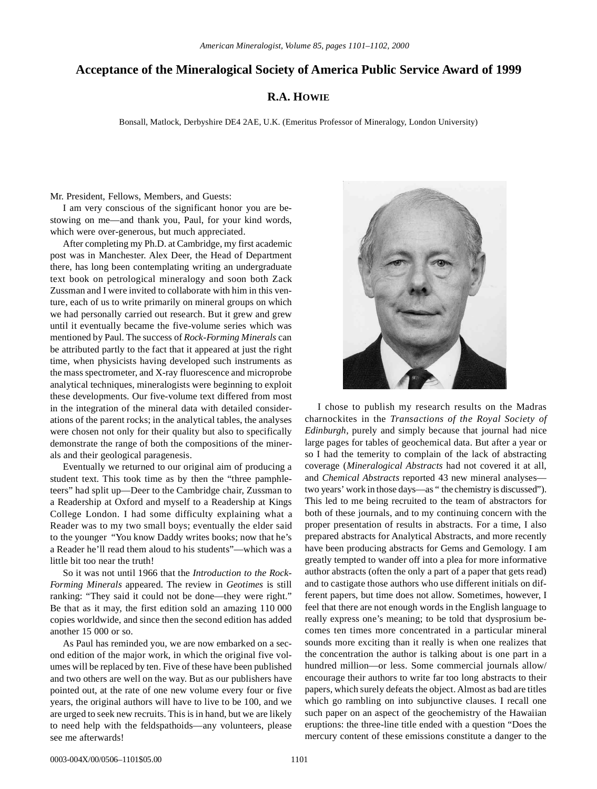## **Acceptance of the Mineralogical Society of America Public Service Award of 1999**

## **R.A. HOWIE**

Bonsall, Matlock, Derbyshire DE4 2AE, U.K. (Emeritus Professor of Mineralogy, London University)

Mr. President, Fellows, Members, and Guests:

I am very conscious of the significant honor you are bestowing on me—and thank you, Paul, for your kind words, which were over-generous, but much appreciated.

After completing my Ph.D. at Cambridge, my first academic post was in Manchester. Alex Deer, the Head of Department there, has long been contemplating writing an undergraduate text book on petrological mineralogy and soon both Zack Zussman and I were invited to collaborate with him in this venture, each of us to write primarily on mineral groups on which we had personally carried out research. But it grew and grew until it eventually became the five-volume series which was mentioned by Paul. The success of *Rock-Forming Minerals* can be attributed partly to the fact that it appeared at just the right time, when physicists having developed such instruments as the mass spectrometer, and X-ray fluorescence and microprobe analytical techniques, mineralogists were beginning to exploit these developments. Our five-volume text differed from most in the integration of the mineral data with detailed considerations of the parent rocks; in the analytical tables, the analyses were chosen not only for their quality but also to specifically demonstrate the range of both the compositions of the minerals and their geological paragenesis.

Eventually we returned to our original aim of producing a student text. This took time as by then the "three pamphleteers" had split up—Deer to the Cambridge chair, Zussman to a Readership at Oxford and myself to a Readership at Kings College London. I had some difficulty explaining what a Reader was to my two small boys; eventually the elder said to the younger "You know Daddy writes books; now that he's a Reader he'll read them aloud to his students"—which was a little bit too near the truth!

So it was not until 1966 that the *Introduction to the Rock-Forming Minerals* appeared. The review in *Geotimes* is still ranking: "They said it could not be done—they were right." Be that as it may, the first edition sold an amazing 110 000 copies worldwide, and since then the second edition has added another 15 000 or so.

As Paul has reminded you, we are now embarked on a second edition of the major work, in which the original five volumes will be replaced by ten. Five of these have been published and two others are well on the way. But as our publishers have pointed out, at the rate of one new volume every four or five years, the original authors will have to live to be 100, and we are urged to seek new recruits. This is in hand, but we are likely to need help with the feldspathoids—any volunteers, please see me afterwards!



I chose to publish my research results on the Madras charnockites in the *Transactions of the Royal Society of Edinburgh*, purely and simply because that journal had nice large pages for tables of geochemical data. But after a year or so I had the temerity to complain of the lack of abstracting coverage (*Mineralogical Abstracts* had not covered it at all, and *Chemical Abstracts* reported 43 new mineral analyses two years' work in those days—as " the chemistry is discussed"). This led to me being recruited to the team of abstractors for both of these journals, and to my continuing concern with the proper presentation of results in abstracts. For a time, I also prepared abstracts for Analytical Abstracts, and more recently have been producing abstracts for Gems and Gemology. I am greatly tempted to wander off into a plea for more informative author abstracts (often the only a part of a paper that gets read) and to castigate those authors who use different initials on different papers, but time does not allow. Sometimes, however, I feel that there are not enough words in the English language to really express one's meaning; to be told that dysprosium becomes ten times more concentrated in a particular mineral sounds more exciting than it really is when one realizes that the concentration the author is talking about is one part in a hundred million—or less. Some commercial journals allow/ encourage their authors to write far too long abstracts to their papers, which surely defeats the object. Almost as bad are titles which go rambling on into subjunctive clauses. I recall one such paper on an aspect of the geochemistry of the Hawaiian eruptions: the three-line title ended with a question "Does the mercury content of these emissions constitute a danger to the